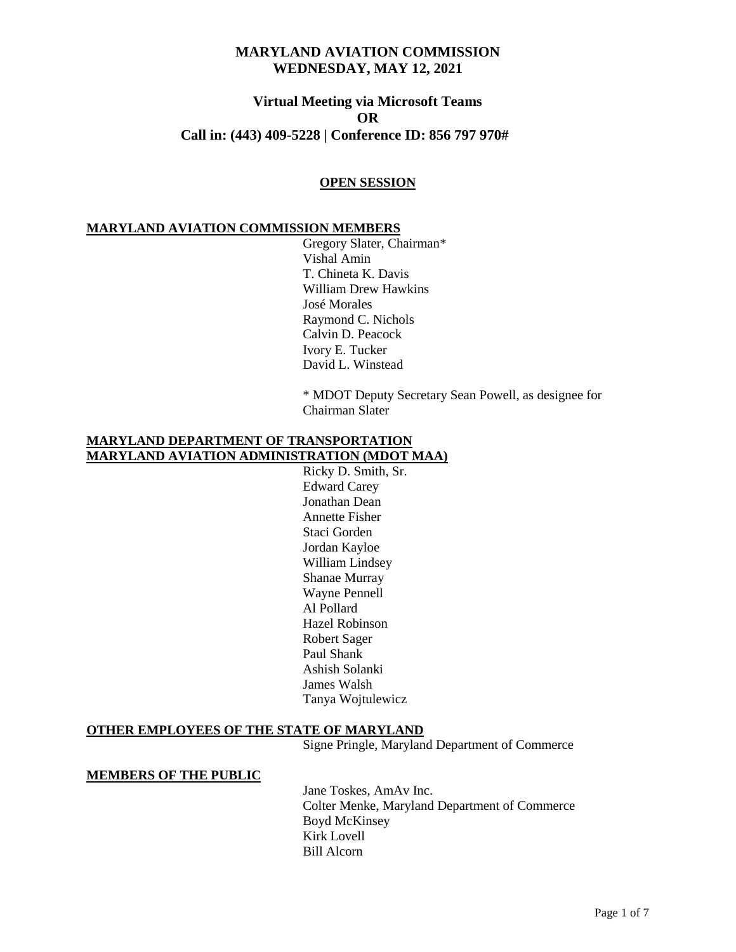# **Virtual Meeting via Microsoft Teams OR Call in: (443) 409-5228 | Conference ID: 856 797 970#**

### **OPEN SESSION**

### **MARYLAND AVIATION COMMISSION MEMBERS**

Gregory Slater, Chairman\* Vishal Amin T. Chineta K. Davis William Drew Hawkins José Morales Raymond C. Nichols Calvin D. Peacock Ivory E. Tucker David L. Winstead

\* MDOT Deputy Secretary Sean Powell, as designee for Chairman Slater

### **MARYLAND DEPARTMENT OF TRANSPORTATION MARYLAND AVIATION ADMINISTRATION (MDOT MAA)**

Ricky D. Smith, Sr. Edward Carey Jonathan Dean Annette Fisher Staci Gorden Jordan Kayloe William Lindsey Shanae Murray Wayne Pennell Al Pollard Hazel Robinson Robert Sager Paul Shank Ashish Solanki James Walsh Tanya Wojtulewicz

## **OTHER EMPLOYEES OF THE STATE OF MARYLAND**

Signe Pringle, Maryland Department of Commerce

#### **MEMBERS OF THE PUBLIC**

Jane Toskes, AmAv Inc. Colter Menke, Maryland Department of Commerce Boyd McKinsey Kirk Lovell Bill Alcorn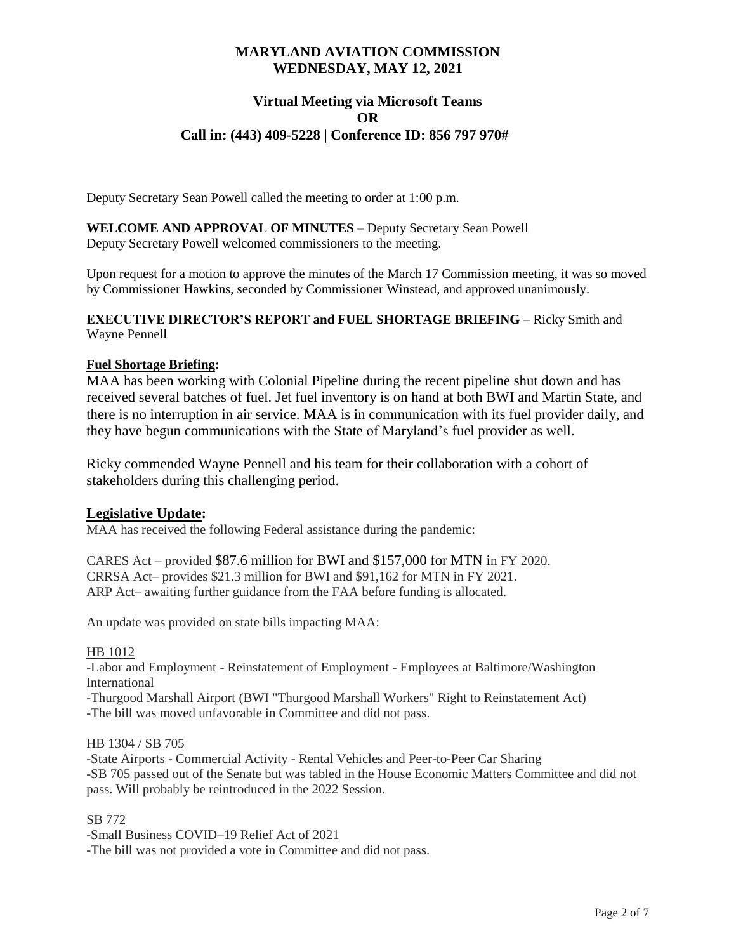# **Virtual Meeting via Microsoft Teams OR Call in: (443) 409-5228 | Conference ID: 856 797 970#**

Deputy Secretary Sean Powell called the meeting to order at 1:00 p.m.

**WELCOME AND APPROVAL OF MINUTES** – Deputy Secretary Sean Powell Deputy Secretary Powell welcomed commissioners to the meeting.

Upon request for a motion to approve the minutes of the March 17 Commission meeting, it was so moved by Commissioner Hawkins, seconded by Commissioner Winstead, and approved unanimously.

### **EXECUTIVE DIRECTOR'S REPORT and FUEL SHORTAGE BRIEFING** – Ricky Smith and Wayne Pennell

## **Fuel Shortage Briefing:**

MAA has been working with Colonial Pipeline during the recent pipeline shut down and has received several batches of fuel. Jet fuel inventory is on hand at both BWI and Martin State, and there is no interruption in air service. MAA is in communication with its fuel provider daily, and they have begun communications with the State of Maryland's fuel provider as well.

Ricky commended Wayne Pennell and his team for their collaboration with a cohort of stakeholders during this challenging period.

## **Legislative Update:**

MAA has received the following Federal assistance during the pandemic:

CARES Act – provided \$87.6 million for BWI and \$157,000 for MTN in FY 2020. CRRSA Act– provides \$21.3 million for BWI and \$91,162 for MTN in FY 2021. ARP Act– awaiting further guidance from the FAA before funding is allocated.

An update was provided on state bills impacting MAA:

HB 1012

-Labor and Employment - Reinstatement of Employment - Employees at Baltimore/Washington International

-Thurgood Marshall Airport (BWI "Thurgood Marshall Workers" Right to Reinstatement Act) -The bill was moved unfavorable in Committee and did not pass.

### HB 1304 / SB 705

-State Airports - Commercial Activity - Rental Vehicles and Peer-to-Peer Car Sharing -SB 705 passed out of the Senate but was tabled in the House Economic Matters Committee and did not pass. Will probably be reintroduced in the 2022 Session.

### SB 772

-Small Business COVID–19 Relief Act of 2021 -The bill was not provided a vote in Committee and did not pass.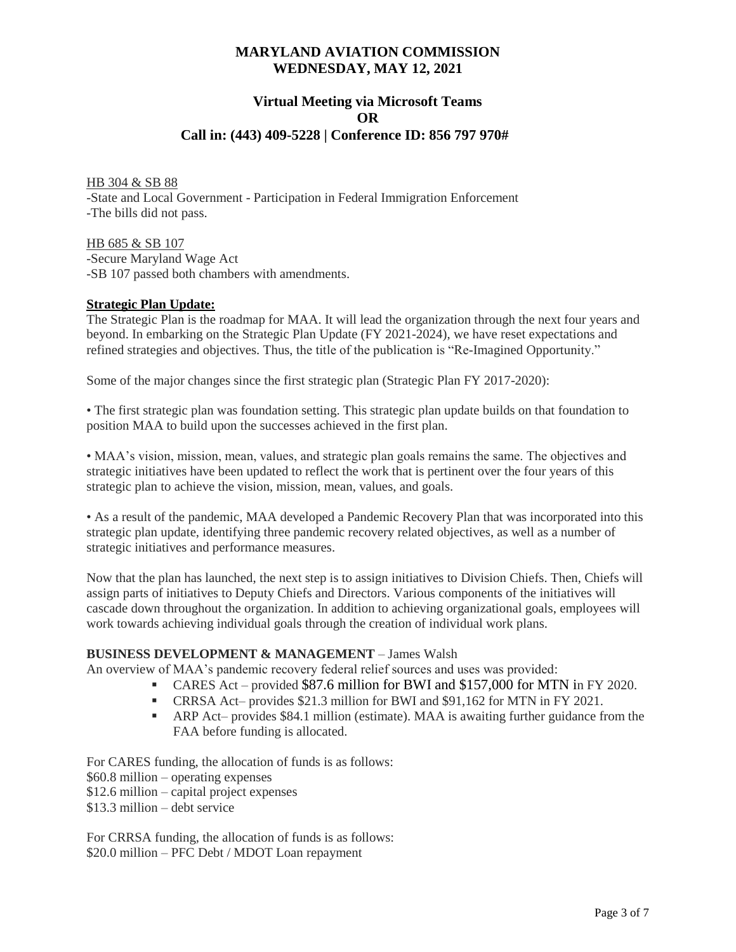# **Virtual Meeting via Microsoft Teams OR Call in: (443) 409-5228 | Conference ID: 856 797 970#**

HB 304 & SB 88 -State and Local Government - Participation in Federal Immigration Enforcement -The bills did not pass.

HB 685 & SB 107 -Secure Maryland Wage Act -SB 107 passed both chambers with amendments.

### **Strategic Plan Update:**

The Strategic Plan is the roadmap for MAA. It will lead the organization through the next four years and beyond. In embarking on the Strategic Plan Update (FY 2021-2024), we have reset expectations and refined strategies and objectives. Thus, the title of the publication is "Re-Imagined Opportunity."

Some of the major changes since the first strategic plan (Strategic Plan FY 2017-2020):

• The first strategic plan was foundation setting. This strategic plan update builds on that foundation to position MAA to build upon the successes achieved in the first plan.

• MAA's vision, mission, mean, values, and strategic plan goals remains the same. The objectives and strategic initiatives have been updated to reflect the work that is pertinent over the four years of this strategic plan to achieve the vision, mission, mean, values, and goals.

• As a result of the pandemic, MAA developed a Pandemic Recovery Plan that was incorporated into this strategic plan update, identifying three pandemic recovery related objectives, as well as a number of strategic initiatives and performance measures.

Now that the plan has launched, the next step is to assign initiatives to Division Chiefs. Then, Chiefs will assign parts of initiatives to Deputy Chiefs and Directors. Various components of the initiatives will cascade down throughout the organization. In addition to achieving organizational goals, employees will work towards achieving individual goals through the creation of individual work plans.

### **BUSINESS DEVELOPMENT & MANAGEMENT** – James Walsh

An overview of MAA's pandemic recovery federal relief sources and uses was provided:

- CARES Act provided \$87.6 million for BWI and \$157,000 for MTN in FY 2020.
- CRRSA Act– provides \$21.3 million for BWI and \$91,162 for MTN in FY 2021.
- ARP Act– provides \$84.1 million (estimate). MAA is awaiting further guidance from the FAA before funding is allocated.

For CARES funding, the allocation of funds is as follows: \$60.8 million – operating expenses \$12.6 million – capital project expenses \$13.3 million – debt service

For CRRSA funding, the allocation of funds is as follows: \$20.0 million – PFC Debt / MDOT Loan repayment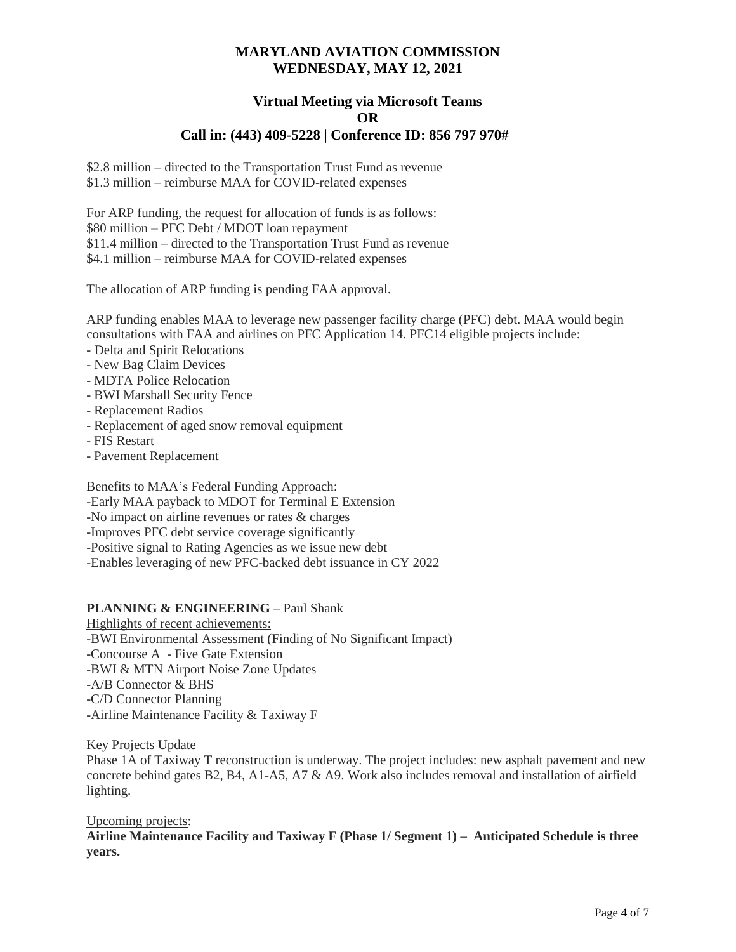### **Virtual Meeting via Microsoft Teams OR Call in: (443) 409-5228 | Conference ID: 856 797 970#**

\$2.8 million – directed to the Transportation Trust Fund as revenue \$1.3 million – reimburse MAA for COVID-related expenses

For ARP funding, the request for allocation of funds is as follows: \$80 million – PFC Debt / MDOT loan repayment \$11.4 million – directed to the Transportation Trust Fund as revenue \$4.1 million – reimburse MAA for COVID-related expenses

The allocation of ARP funding is pending FAA approval.

ARP funding enables MAA to leverage new passenger facility charge (PFC) debt. MAA would begin consultations with FAA and airlines on PFC Application 14. PFC14 eligible projects include:

- Delta and Spirit Relocations
- New Bag Claim Devices
- MDTA Police Relocation
- BWI Marshall Security Fence
- Replacement Radios
- Replacement of aged snow removal equipment
- FIS Restart
- Pavement Replacement

Benefits to MAA's Federal Funding Approach:

- -Early MAA payback to MDOT for Terminal E Extension
- -No impact on airline revenues or rates & charges
- -Improves PFC debt service coverage significantly
- -Positive signal to Rating Agencies as we issue new debt

-Enables leveraging of new PFC-backed debt issuance in CY 2022

## **PLANNING & ENGINEERING - Paul Shank**

Highlights of recent achievements: -BWI Environmental Assessment (Finding of No Significant Impact) -Concourse A - Five Gate Extension -BWI & MTN Airport Noise Zone Updates -A/B Connector & BHS -C/D Connector Planning -Airline Maintenance Facility & Taxiway F

### Key Projects Update

Phase 1A of Taxiway T reconstruction is underway. The project includes: new asphalt pavement and new concrete behind gates B2, B4, A1-A5, A7 & A9. Work also includes removal and installation of airfield lighting.

#### Upcoming projects:

**Airline Maintenance Facility and Taxiway F (Phase 1/ Segment 1) – Anticipated Schedule is three years.**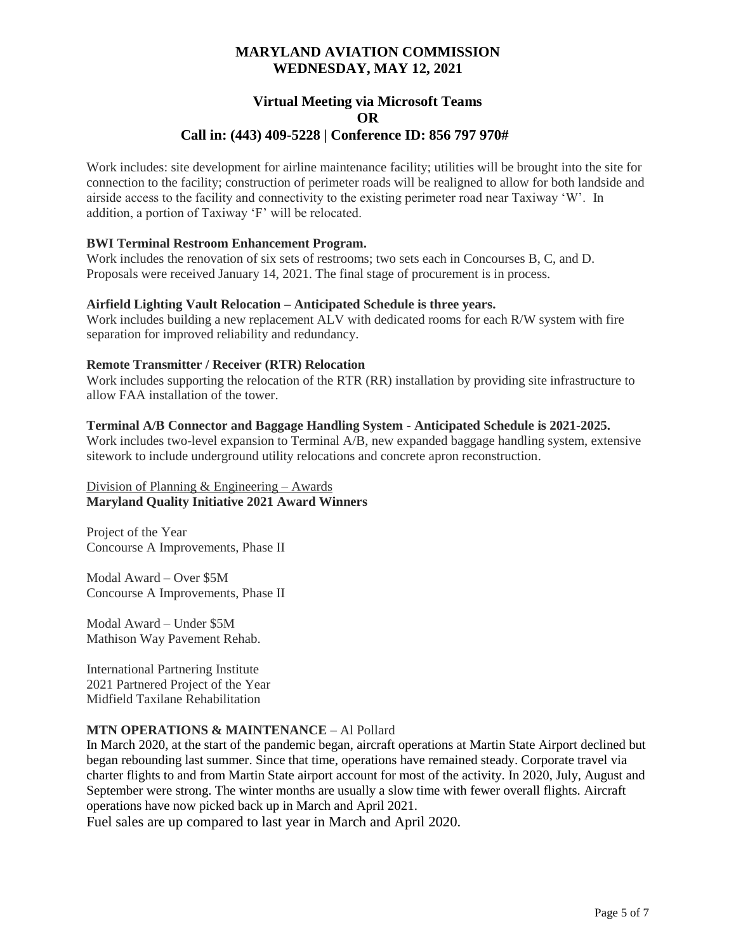### **Virtual Meeting via Microsoft Teams OR Call in: (443) 409-5228 | Conference ID: 856 797 970#**

Work includes: site development for airline maintenance facility; utilities will be brought into the site for connection to the facility; construction of perimeter roads will be realigned to allow for both landside and airside access to the facility and connectivity to the existing perimeter road near Taxiway 'W'. In addition, a portion of Taxiway 'F' will be relocated.

### **BWI Terminal Restroom Enhancement Program.**

Work includes the renovation of six sets of restrooms; two sets each in Concourses B, C, and D. Proposals were received January 14, 2021. The final stage of procurement is in process.

### **Airfield Lighting Vault Relocation – Anticipated Schedule is three years.**

Work includes building a new replacement ALV with dedicated rooms for each R/W system with fire separation for improved reliability and redundancy.

#### **Remote Transmitter / Receiver (RTR) Relocation**

Work includes supporting the relocation of the RTR (RR) installation by providing site infrastructure to allow FAA installation of the tower.

#### **Terminal A/B Connector and Baggage Handling System - Anticipated Schedule is 2021-2025.**

Work includes two-level expansion to Terminal A/B, new expanded baggage handling system, extensive sitework to include underground utility relocations and concrete apron reconstruction.

### Division of Planning  $&$  Engineering – Awards **Maryland Quality Initiative 2021 Award Winners**

Project of the Year Concourse A Improvements, Phase II

Modal Award – Over \$5M Concourse A Improvements, Phase II

Modal Award – Under \$5M Mathison Way Pavement Rehab.

International Partnering Institute 2021 Partnered Project of the Year Midfield Taxilane Rehabilitation

### **MTN OPERATIONS & MAINTENANCE** – Al Pollard

In March 2020, at the start of the pandemic began, aircraft operations at Martin State Airport declined but began rebounding last summer. Since that time, operations have remained steady. Corporate travel via charter flights to and from Martin State airport account for most of the activity. In 2020, July, August and September were strong. The winter months are usually a slow time with fewer overall flights. Aircraft operations have now picked back up in March and April 2021.

Fuel sales are up compared to last year in March and April 2020.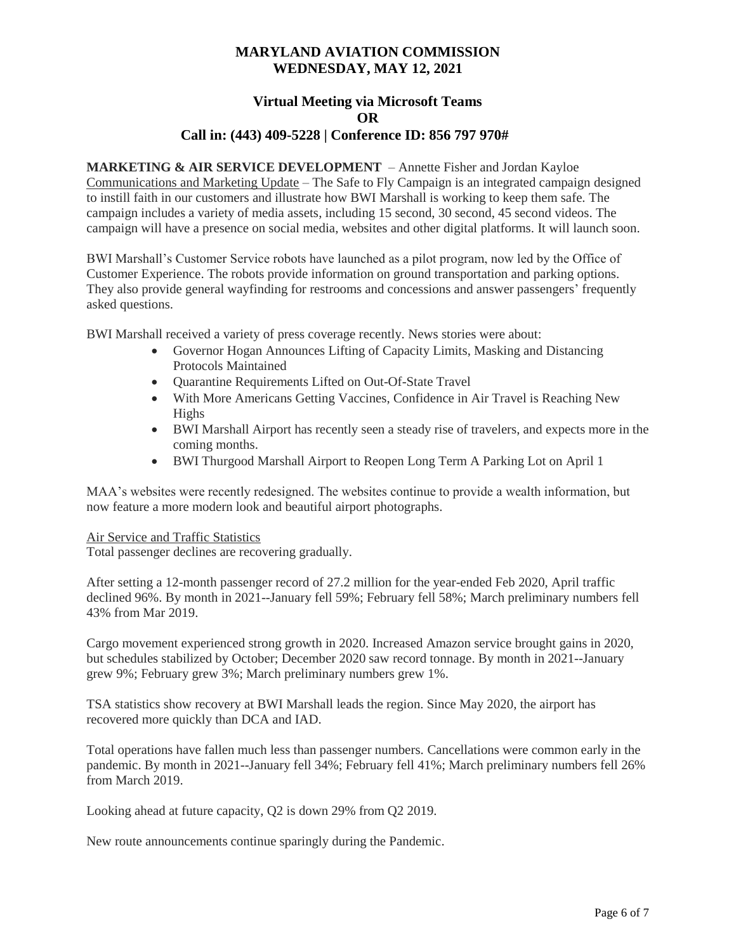### **Virtual Meeting via Microsoft Teams OR Call in: (443) 409-5228 | Conference ID: 856 797 970#**

**MARKETING & AIR SERVICE DEVELOPMENT** – Annette Fisher and Jordan Kayloe Communications and Marketing Update – The Safe to Fly Campaign is an integrated campaign designed to instill faith in our customers and illustrate how BWI Marshall is working to keep them safe. The campaign includes a variety of media assets, including 15 second, 30 second, 45 second videos. The campaign will have a presence on social media, websites and other digital platforms. It will launch soon.

BWI Marshall's Customer Service robots have launched as a pilot program, now led by the Office of Customer Experience. The robots provide information on ground transportation and parking options. They also provide general wayfinding for restrooms and concessions and answer passengers' frequently asked questions.

BWI Marshall received a variety of press coverage recently. News stories were about:

- Governor Hogan Announces Lifting of Capacity Limits, Masking and Distancing Protocols Maintained
- Quarantine Requirements Lifted on Out-Of-State Travel
- With More Americans Getting Vaccines, Confidence in Air Travel is Reaching New Highs
- BWI Marshall Airport has recently seen a steady rise of travelers, and expects more in the coming months.
- BWI Thurgood Marshall Airport to Reopen Long Term A Parking Lot on April 1

MAA's websites were recently redesigned. The websites continue to provide a wealth information, but now feature a more modern look and beautiful airport photographs.

#### Air Service and Traffic Statistics

Total passenger declines are recovering gradually.

After setting a 12-month passenger record of 27.2 million for the year-ended Feb 2020, April traffic declined 96%. By month in 2021--January fell 59%; February fell 58%; March preliminary numbers fell 43% from Mar 2019.

Cargo movement experienced strong growth in 2020. Increased Amazon service brought gains in 2020, but schedules stabilized by October; December 2020 saw record tonnage. By month in 2021--January grew 9%; February grew 3%; March preliminary numbers grew 1%.

TSA statistics show recovery at BWI Marshall leads the region. Since May 2020, the airport has recovered more quickly than DCA and IAD.

Total operations have fallen much less than passenger numbers. Cancellations were common early in the pandemic. By month in 2021--January fell 34%; February fell 41%; March preliminary numbers fell 26% from March 2019.

Looking ahead at future capacity, Q2 is down 29% from Q2 2019.

New route announcements continue sparingly during the Pandemic.